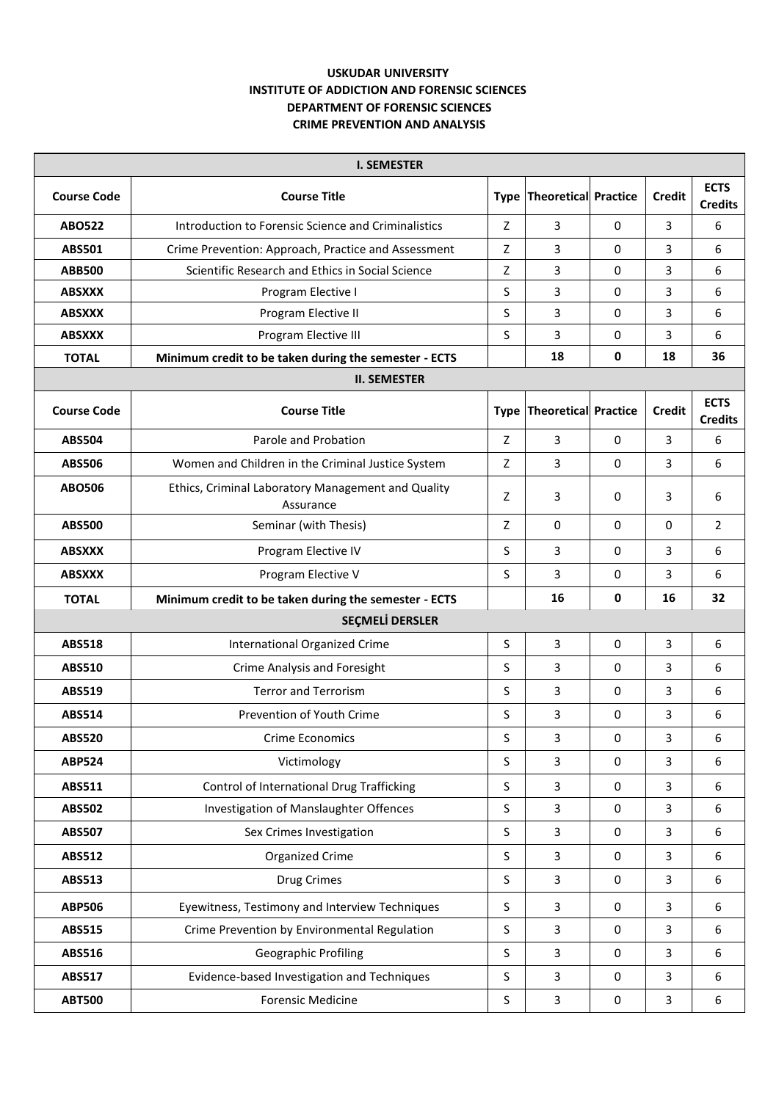## **USKUDAR UNIVERSITY INSTITUTE OF ADDICTION AND FORENSIC SCIENCES DEPARTMENT OF FORENSIC SCIENCES CRIME PREVENTION AND ANALYSIS**

| <b>I. SEMESTER</b>     |                                                                 |              |                                  |          |                |                               |  |  |  |  |
|------------------------|-----------------------------------------------------------------|--------------|----------------------------------|----------|----------------|-------------------------------|--|--|--|--|
| <b>Course Code</b>     | <b>Course Title</b>                                             |              | <b>Type Theoretical Practice</b> |          | <b>Credit</b>  | <b>ECTS</b><br><b>Credits</b> |  |  |  |  |
| <b>ABO522</b>          | Introduction to Forensic Science and Criminalistics             | Z            | 3                                | 0        | 3              | 6                             |  |  |  |  |
| <b>ABS501</b>          | Crime Prevention: Approach, Practice and Assessment             | Z            | 3                                | 0        | 3              | 6                             |  |  |  |  |
| <b>ABB500</b>          | Scientific Research and Ethics in Social Science                | Z            | 3                                | 0        | 3              | 6                             |  |  |  |  |
| <b>ABSXXX</b>          | Program Elective I                                              | S            | 3                                | 0        | 3              | 6                             |  |  |  |  |
| <b>ABSXXX</b>          | Program Elective II                                             | S            | 3                                | 0        | 3              | 6                             |  |  |  |  |
| <b>ABSXXX</b>          | Program Elective III                                            | S            | 3                                | 0        | 3              | 6                             |  |  |  |  |
| <b>TOTAL</b>           | Minimum credit to be taken during the semester - ECTS           |              | 18                               | 0        | 18             | 36                            |  |  |  |  |
| <b>II. SEMESTER</b>    |                                                                 |              |                                  |          |                |                               |  |  |  |  |
| <b>Course Code</b>     | <b>Course Title</b>                                             |              | Type Theoretical Practice        |          | <b>Credit</b>  | <b>ECTS</b><br><b>Credits</b> |  |  |  |  |
| <b>ABS504</b>          | Parole and Probation                                            | Z            | 3                                | 0        | $\overline{3}$ | 6                             |  |  |  |  |
| <b>ABS506</b>          | Women and Children in the Criminal Justice System               | Z            | 3                                | $\Omega$ | 3              | 6                             |  |  |  |  |
| <b>ABO506</b>          | Ethics, Criminal Laboratory Management and Quality<br>Assurance | Z            | 3                                | 0        | 3              | 6                             |  |  |  |  |
| <b>ABS500</b>          | Seminar (with Thesis)                                           | Z            | 0                                | 0        | $\Omega$       | $\overline{2}$                |  |  |  |  |
| <b>ABSXXX</b>          | Program Elective IV                                             | S            | 3                                | 0        | $\overline{3}$ | 6                             |  |  |  |  |
| <b>ABSXXX</b>          | Program Elective V                                              | S            | 3                                | 0        | 3              | 6                             |  |  |  |  |
| <b>TOTAL</b>           | Minimum credit to be taken during the semester - ECTS           |              | 16                               | 0        | 16             | 32                            |  |  |  |  |
| <b>SEÇMELİ DERSLER</b> |                                                                 |              |                                  |          |                |                               |  |  |  |  |
| <b>ABS518</b>          | International Organized Crime                                   | S            | 3                                | 0        | $\overline{3}$ | 6                             |  |  |  |  |
| ABS510                 | <b>Crime Analysis and Foresight</b>                             | S            | 3                                | 0        | 3              | 6                             |  |  |  |  |
| ABS519                 | <b>Terror and Terrorism</b>                                     | S            | 3                                | 0        | 3              | 6                             |  |  |  |  |
| ABS514                 | Prevention of Youth Crime                                       | S            | 3                                | 0        | 3              | 6                             |  |  |  |  |
| <b>ABS520</b>          | Crime Economics                                                 | S            | 3                                | 0        | 3              | 6                             |  |  |  |  |
| <b>ABP524</b>          | Victimology                                                     | $\mathsf{S}$ | 3                                | 0        | $\overline{3}$ | 6                             |  |  |  |  |
| ABS511                 | Control of International Drug Trafficking                       | S            | 3                                | 0        | $\mathbf{3}$   | 6                             |  |  |  |  |
| <b>ABS502</b>          | Investigation of Manslaughter Offences                          | $\mathsf{S}$ | 3                                | 0        | $\overline{3}$ | 6                             |  |  |  |  |
| <b>ABS507</b>          | Sex Crimes Investigation                                        | $\mathsf{S}$ | 3                                | 0        | $\overline{3}$ | 6                             |  |  |  |  |
| <b>ABS512</b>          | Organized Crime                                                 | $\mathsf S$  | 3                                | 0        | $\overline{3}$ | 6                             |  |  |  |  |
| ABS513                 | Drug Crimes                                                     | $\mathsf{S}$ | 3                                | 0        | $\overline{3}$ | 6                             |  |  |  |  |
| <b>ABP506</b>          | Eyewitness, Testimony and Interview Techniques                  | S            | 3                                | 0        | 3              | 6                             |  |  |  |  |
| <b>ABS515</b>          | Crime Prevention by Environmental Regulation                    | $\mathsf{S}$ | 3                                | 0        | $\overline{3}$ | 6                             |  |  |  |  |
| ABS516                 | Geographic Profiling                                            | $\sf S$      | 3                                | 0        | $\mathbf{3}$   | 6                             |  |  |  |  |
| <b>ABS517</b>          | Evidence-based Investigation and Techniques                     | S            | 3                                | 0        | $\overline{3}$ | 6                             |  |  |  |  |
| <b>ABT500</b>          | <b>Forensic Medicine</b>                                        | S.           | 3                                | 0        | $\mathbf{3}$   | 6                             |  |  |  |  |